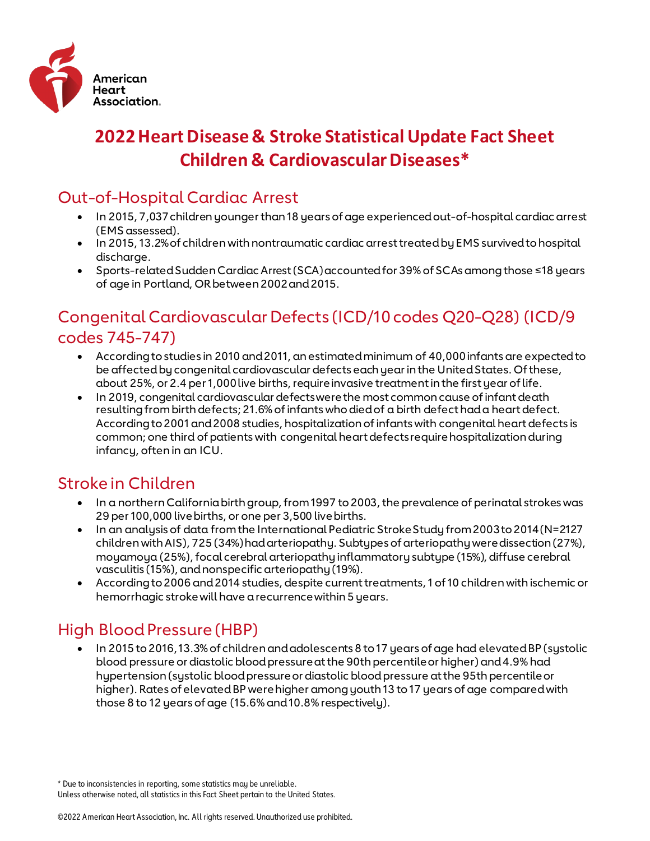

# **2022 Heart Disease & Stroke Statistical Update Fact Sheet Children & Cardiovascular Diseases\***

## Out-of-Hospital Cardiac Arrest

- In 2015, 7,037 children younger than 18 years of age experienced out-of-hospital cardiac arrest (EMS assessed).
- In 2015, 13.2% of children with nontraumatic cardiac arrest treated by EMS survived to hospital discharge.
- Sports-related Sudden Cardiac Arrest (SCA) accounted for 39% of SCAs among those ≤18 years of age in Portland, OR between 2002 and 2015.

### Congenital Cardiovascular Defects (ICD/10 codes Q20-Q28) (ICD/9 codes 745-747)

- According to studies in 2010 and 2011, an estimated minimum of 40,000 infants are expected to be affected by congenital cardiovascular defects each year in the United States. Of these, about 25%, or 2.4 per 1,000 live births, require invasive treatment in the first year of life.
- In 2019, congenital cardiovascular defects were the most common cause of infant death resulting from birth defects; 21.6% of infants who died of a birth defect had a heart defect. According to 2001 and 2008 studies, hospitalization of infants with congenital heart defects is common; one third of patients with congenital heart defects require hospitalization during infancy, often in an ICU.

# Stroke in Children

- In a northern California birth group, from 1997 to 2003, the prevalence of perinatal strokes was 29 per 100,000 live births, or one per 3,500 live births.
- In an analysis of data from the International Pediatric Stroke Study from 2003 to 2014 (N=2127 children with AIS), 725 (34%) had arteriopathy. Subtypes of arteriopathy were dissection (27%), moyamoya (25%), focal cerebral arteriopathy inflammatory subtype (15%), diffuse cerebral vasculitis (15%), and nonspecific arteriopathy (19%).
- According to 2006 and 2014 studies, despite current treatments, 1 of 10 children with ischemic or hemorrhagic stroke will have a recurrence within 5 years.

# High Blood Pressure (HBP)

• In 2015 to 2016, 13.3% of children and adolescents 8 to 17 years of age had elevated BP (systolic blood pressure or diastolic blood pressure at the 90th percentile or higher) and 4.9% had hypertension (systolic blood pressure or diastolic blood pressure at the 95th percentile or higher). Rates of elevated BP were higher among youth 13 to 17 years of age compared with those 8 to 12 years of age (15.6% and 10.8% respectively).

<sup>\*</sup> Due to inconsistencies in reporting, some statistics may be unreliable. Unless otherwise noted, all statistics in this Fact Sheet pertain to the United States.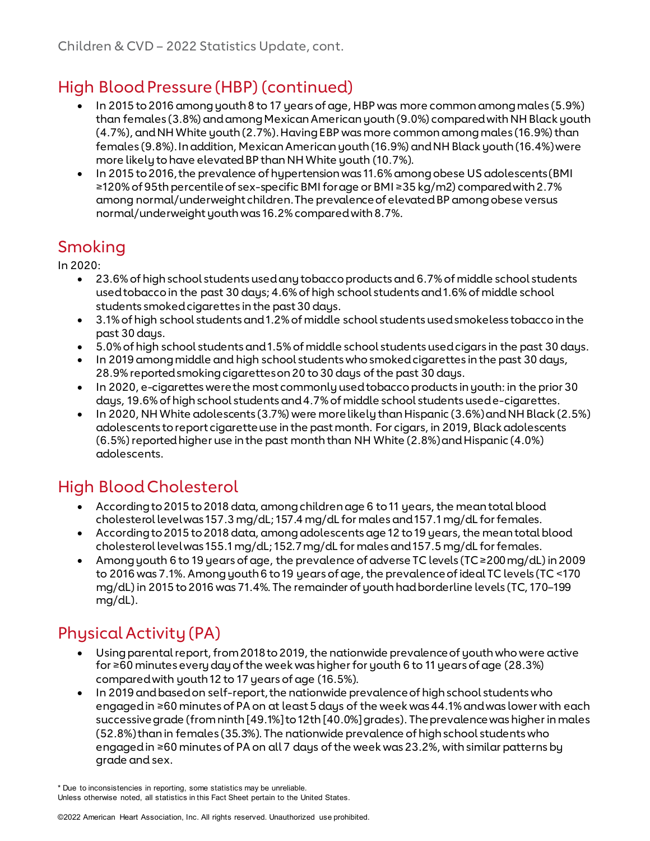# High Blood Pressure (HBP) (continued)

- In 2015 to 2016 among youth 8 to 17 years of age, HBP was more common among males (5.9%) than females (3.8%) and among Mexican American youth (9.0%) compared with NH Black youth (4.7%), and NH White youth (2.7%). Having EBP was more common among males (16.9%) than females (9.8%). In addition, Mexican American youth (16.9%) and NH Black youth (16.4%) were more likely to have elevated BP than NH White youth (10.7%).
- In 2015 to 2016, the prevalence of hypertension was 11.6% among obese US adolescents (BMI ≥120% of 95th percentile of sex-specific BMI for age or BMI ≥35 kg/m2) compared with 2.7% among normal/underweight children. The prevalence of elevated BP among obese versus normal/underweight youth was 16.2% compared with 8.7%.

# Smoking

In 2020:

- 23.6% of high school students used any tobacco products and 6.7% of middle school students used tobacco in the past 30 days; 4.6% of high school students and 1.6% of middle school students smoked cigarettes in the past 30 days.
- 3.1% of high school students and 1.2% of middle school students used smokeless tobacco in the past 30 days.
- 5.0% of high school students and 1.5% of middle school students used cigars in the past 30 days.
- In 2019 among middle and high school students who smoked cigarettes in the past 30 days, 28.9% reported smoking cigarettes on 20 to 30 days of the past 30 days.
- In 2020, e-cigarettes were the most commonly used tobacco products in youth: in the prior 30 days, 19.6% of high school students and 4.7% of middle school students used e-cigarettes.
- In 2020, NH White adolescents (3.7%) were more likely than Hispanic (3.6%) and NH Black (2.5%) adolescents to report cigarette use in the past month. For cigars, in 2019, Black adolescents (6.5%) reported higher use in the past month than NH White (2.8%) and Hispanic (4.0%) adolescents.

# High Blood Cholesterol

- According to 2015 to 2018 data, among children age 6 to 11 years, the mean total blood cholesterol level was 157.3 mg/dL; 157.4 mg/dL for males and 157.1 mg/dL for females.
- According to 2015 to 2018 data, among adolescents age 12 to 19 years, the mean total blood cholesterol level was 155.1 mg/dL; 152.7 mg/dL for males and 157.5 mg/dL for females.
- Among youth 6 to 19 years of age, the prevalence of adverse TC levels (TC ≥200 mg/dL) in 2009 to 2016 was 7.1%. Among youth 6 to 19 years of age, the prevalence of ideal TC levels (TC <170 mg/dL) in 2015 to 2016 was 71.4%. The remainder of youth had borderline levels (TC, 170–199 mg/dL).

# Physical Activity (PA)

- Using parental report, from 2018 to 2019, the nationwide prevalence of youth who were active for ≥60 minutes every day of the week was higher for youth 6 to 11 years of age (28.3%) compared with youth 12 to 17 years of age (16.5%).
- In 2019 and based on self-report, the nationwide prevalence of high school students who engaged in ≥60 minutes of PA on at least 5 days of the week was 44.1% and was lower with each successive grade (from ninth [49.1%] to 12th [40.0%] grades). The prevalence was higher in males (52.8%) than in females (35.3%). The nationwide prevalence of high school students who engaged in ≥60 minutes of PA on all 7 days of the week was 23.2%, with similar patterns by grade and sex.

Unless otherwise noted, all statistics in this Fact Sheet pertain to the United States.

<sup>\*</sup> Due to inconsistencies in reporting, some statistics may be unreliable.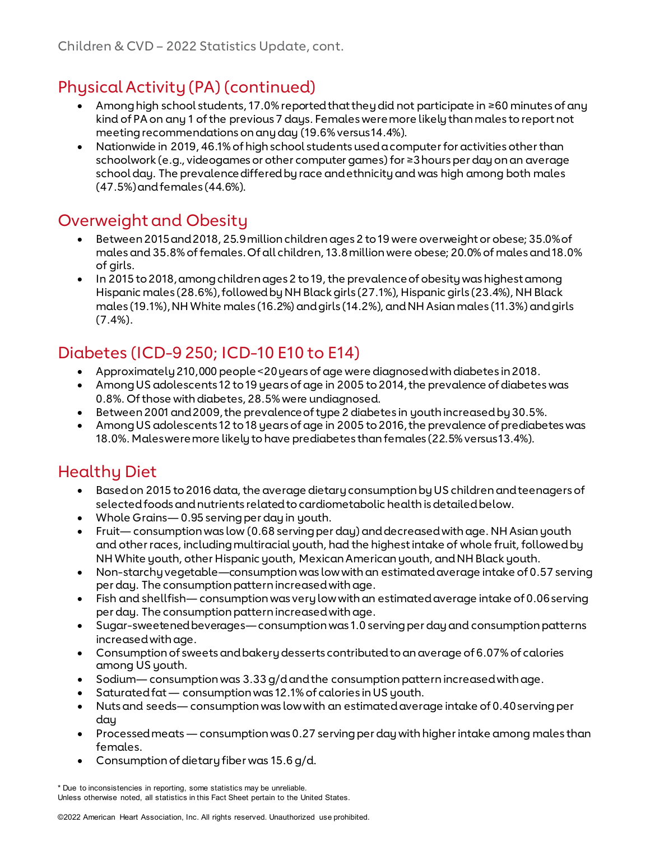# Physical Activity (PA) (continued)

- Among high school students, 17.0% reported that they did not participate in ≥60 minutes of any kind of PA on any 1 of the previous 7 days. Females were more likely than males to reportnot meeting recommendations on any day (19.6% versus 14.4%).
- Nationwide in 2019, 46.1% of high school students used a computer for activities other than schoolwork (e.g., videogames or other computer games) for ≥3 hours per day on an average school day. The prevalence differed by race and ethnicity and was high among both males (47.5%) and females (44.6%).

# Overweight and Obesity

- Between 2015 and 2018, 25.9 million children ages 2 to 19 were overweight or obese; 35.0% of males and 35.8% of females. Of all children, 13.8 million were obese; 20.0% of males and 18.0% of girls.
- In 2015 to 2018, among children ages 2 to 19, the prevalence of obesity was highest among Hispanic males (28.6%), followed by NH Black girls (27.1%), Hispanic girls (23.4%), NH Black males (19.1%), NH White males (16.2%) and girls (14.2%), and NH Asian males (11.3%) and girls (7.4%).

# Diabetes (ICD-9 250; ICD-10 E10 to E14)

- Approximately 210,000 people <20 years of age were diagnosed with diabetes in 2018.
- Among US adolescents 12 to 19 years of age in 2005 to 2014, the prevalence of diabetes was 0.8%. Of those with diabetes, 28.5% were undiagnosed.
- Between 2001 and 2009, the prevalence of type 2 diabetes in youth increased by 30.5%.
- Among US adolescents 12 to 18 years of age in 2005 to 2016, the prevalence of prediabetes was 18.0%. Males were more likely to have prediabetes than females (22.5% versus 13.4%).

# Healthy Diet

- Based on 2015 to 2016 data, the average dietary consumption by US children and teenagers of selected foods and nutrients related to cardiometabolic health is detailed below.
- Whole Grains— 0.95 serving per day in youth.
- Fruit— consumption was low (0.68 serving per day) and decreased with age. NH Asian youth and other races, including multiracial youth, had the highest intake of whole fruit, followed by NH White youth, other Hispanic youth, Mexican American youth, and NH Black youth.
- Non-starchy vegetable—consumption was low with an estimated average intake of 0.57 serving per day. The consumption pattern increased with age.
- Fish and shellfish— consumption was very low with an estimated average intake of 0.06 serving per day. The consumption pattern increased with age.
- Sugar-sweetened beverages— consumption was 1.0 serving per day and consumption patterns increased with age.
- Consumption of sweets and bakery desserts contributedto an average of 6.07% of calories among US youth.
- Sodium— consumption was 3.33 g/d and the consumption pattern increased with age.
- Saturated fat consumption was 12.1% of calories in US youth.
- Nuts and seeds— consumption was low with an estimated average intake of 0.40 serving per day
- Processed meats consumption was 0.27 serving per day with higher intake among males than females.
- Consumption of dietary fiber was 15.6 g/d.

<sup>\*</sup> Due to inconsistencies in reporting, some statistics may be unreliable. Unless otherwise noted, all statistics in this Fact Sheet pertain to the United States.